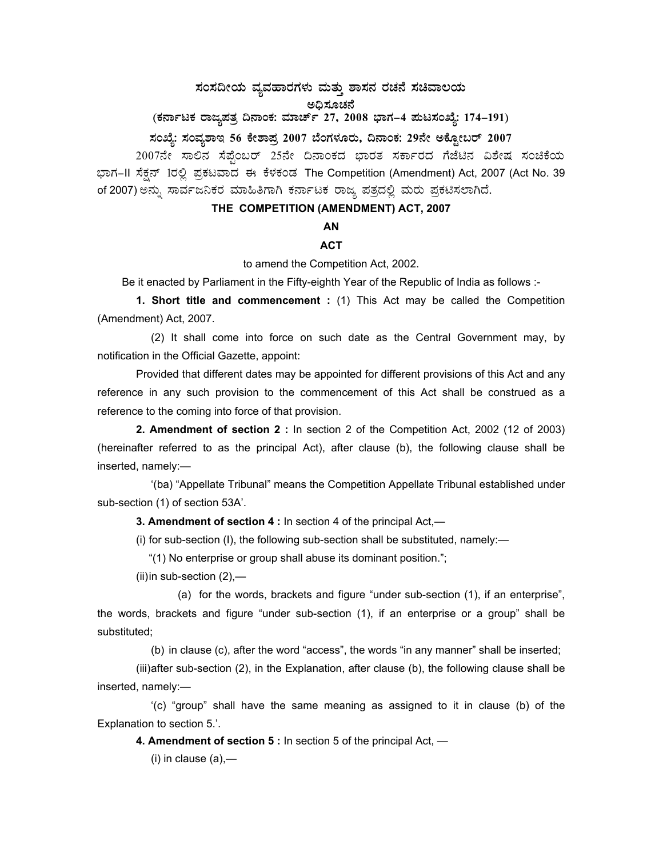## $\,$ ಸಂಸದೀಯ ವ್ಯವಹಾರಗಳು ಮತ್ತು ಶಾಸನ ರಚನೆ ಸಚಿವಾಲಯ

ಅಧಿಸೂಚನೆ

## (ಕರ್ನಾಟಕ ರಾಜ್ಯಪತ್ರ ದಿನಾಂಕ: ಮಾರ್ಚ್ 27, 2008 ಭಾಗ–4 **ಮಟಸಂಖ್ಯೆ: 174–191**)

### **¸ÀASÉå: ¸ÀAªÀå±ÁE 56 PÉñÁ¥Àæ 2007 ¨ÉAUÀ¼ÀÆgÀÄ, ¢£ÁAPÀ: 29£Éà CPÉÆÖçgï 2007**

2007ನೇ ಸಾಲಿನ ಸೆಪ್ಟೆಂಬರ್ 25ನೇ ದಿನಾಂಕದ ಭಾರತ ಸರ್ಕಾರದ ಗೆಜೆಟಿನ ವಿಶೇಷ ಸಂಚಿಕೆಯ ಭಾಗ–II ಸೆಕ್ಷನ್ 1ರಲ್ಲಿ ಪ್ರಕಟವಾದ ಈ ಕೆಳಕಂಡ The Competition (Amendment) Act, 2007 (Act No. 39 of 2007) ಅನ್ನು ಸಾರ್ವಜನಿಕರ ಮಾಹಿತಿಗಾಗಿ ಕರ್ನಾಟಕ ರಾಜ್ಯ ಪತ್ರದಲ್ಲಿ ಮರು ಪ್ರಕಟಿಸಲಾಗಿದೆ.

## **THE COMPETITION (AMENDMENT) ACT, 2007**

## **AN**

# **ACT**

to amend the Competition Act, 2002.

Be it enacted by Parliament in the Fifty-eighth Year of the Republic of India as follows :-

**1. Short title and commencement :** (1) This Act may be called the Competition (Amendment) Act, 2007.

 (2) It shall come into force on such date as the Central Government may, by notification in the Official Gazette, appoint:

 Provided that different dates may be appointed for different provisions of this Act and any reference in any such provision to the commencement of this Act shall be construed as a reference to the coming into force of that provision.

 **2. Amendment of section 2 :** In section 2 of the Competition Act, 2002 (12 of 2003) (hereinafter referred to as the principal Act), after clause (b), the following clause shall be inserted, namely:—

 '(ba) "Appellate Tribunal" means the Competition Appellate Tribunal established under sub-section (1) of section 53A'.

 **3. Amendment of section 4 :** In section 4 of the principal Act,—

(i) for sub-section (I), the following sub-section shall be substituted, namely:—

"(1) No enterprise or group shall abuse its dominant position.";

(ii) in sub-section (2),—

 (a) for the words, brackets and figure "under sub-section (1), if an enterprise", the words, brackets and figure "under sub-section (1), if an enterprise or a group" shall be substituted;

(b) in clause (c), after the word "access", the words "in any manner" shall be inserted;

 (iii) after sub-section (2), in the Explanation, after clause (b), the following clause shall be inserted, namely:—

 '(c) "group" shall have the same meaning as assigned to it in clause (b) of the Explanation to section 5.'.

 **4. Amendment of section 5 :** In section 5 of the principal Act, —

 $(i)$  in clause  $(a)$ ,—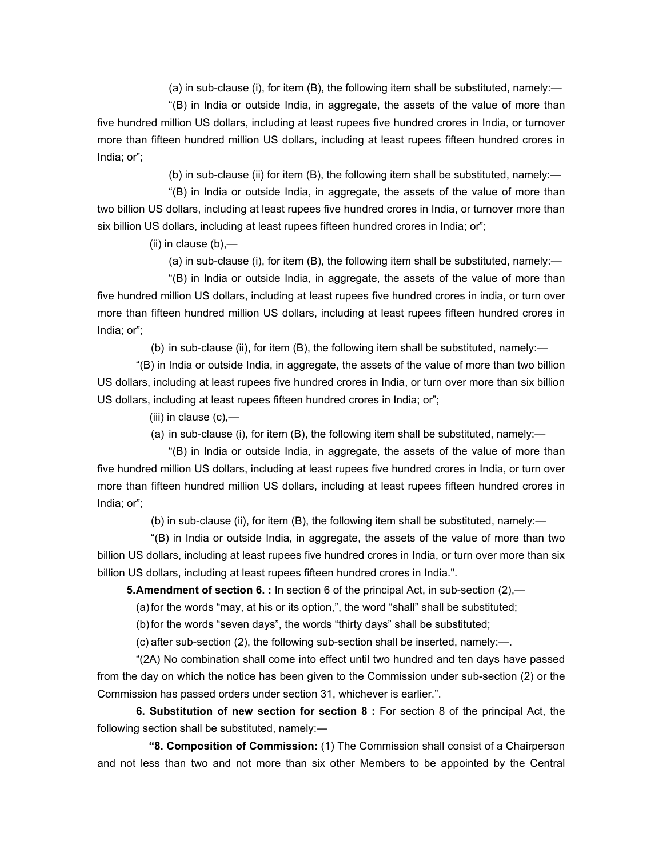(a) in sub-clause (i), for item (B), the following item shall be substituted, namely:—

 "(B) in India or outside India, in aggregate, the assets of the value of more than five hundred million US dollars, including at least rupees five hundred crores in India, or turnover more than fifteen hundred million US dollars, including at least rupees fifteen hundred crores in India; or";

(b) in sub-clause (ii) for item (B), the following item shall be substituted, namely:—

 "(B) in India or outside India, in aggregate, the assets of the value of more than two billion US dollars, including at least rupees five hundred crores in India, or turnover more than six billion US dollars, including at least rupees fifteen hundred crores in India; or";

(ii) in clause (b),—

(a) in sub-clause (i), for item (B), the following item shall be substituted, namely:—

 "(B) in India or outside India, in aggregate, the assets of the value of more than five hundred million US dollars, including at least rupees five hundred crores in india, or turn over more than fifteen hundred million US dollars, including at least rupees fifteen hundred crores in India; or";

(b) in sub-clause (ii), for item (B), the following item shall be substituted, namely:—

 "(B) in India or outside India, in aggregate, the assets of the value of more than two billion US dollars, including at least rupees five hundred crores in India, or turn over more than six billion US dollars, including at least rupees fifteen hundred crores in India; or";

(iii) in clause  $(c)$ ,—

(a) in sub-clause (i), for item (B), the following item shall be substituted, namely:—

 "(B) in India or outside India, in aggregate, the assets of the value of more than five hundred million US dollars, including at least rupees five hundred crores in India, or turn over more than fifteen hundred million US dollars, including at least rupees fifteen hundred crores in India; or";

(b) in sub-clause (ii), for item (B), the following item shall be substituted, namely:—

 "(B) in India or outside India, in aggregate, the assets of the value of more than two billion US dollars, including at least rupees five hundred crores in India, or turn over more than six billion US dollars, including at least rupees fifteen hundred crores in India.".

**5. Amendment of section 6.** : In section 6 of the principal Act, in sub-section (2),—

(a) for the words "may, at his or its option,", the word "shall" shall be substituted;

(b) for the words "seven days", the words "thirty days" shall be substituted;

(c) after sub-section (2), the following sub-section shall be inserted, namely:—.

 "(2A) No combination shall come into effect until two hundred and ten days have passed from the day on which the notice has been given to the Commission under sub-section (2) or the Commission has passed orders under section 31, whichever is earlier.".

 **6. Substitution of new section for section 8 :** For section 8 of the principal Act, the following section shall be substituted, namely:—

 **"8. Composition of Commission:** (1) The Commission shall consist of a Chairperson and not less than two and not more than six other Members to be appointed by the Central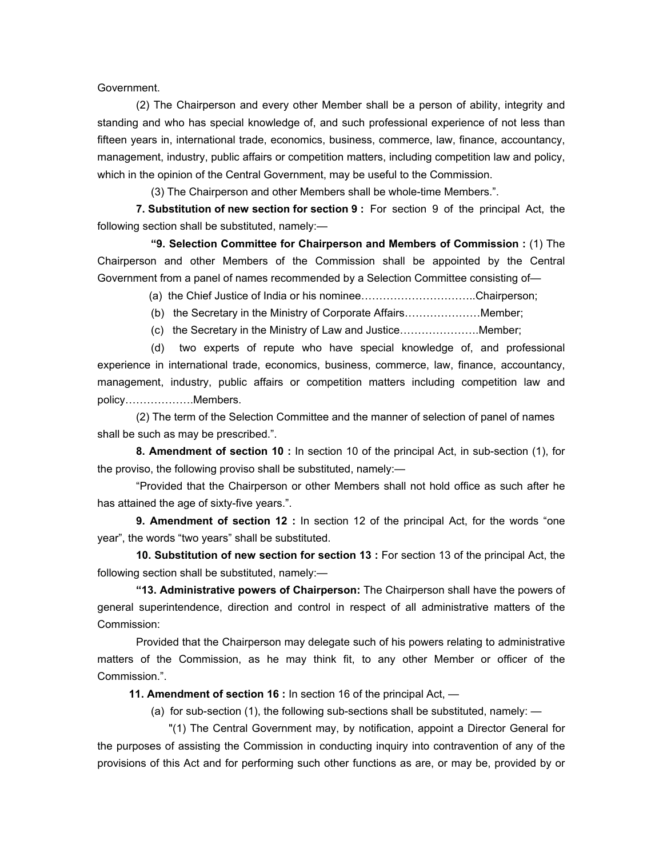Government.

 (2) The Chairperson and every other Member shall be a person of ability, integrity and standing and who has special knowledge of, and such professional experience of not less than fifteen years in, international trade, economics, business, commerce, law, finance, accountancy, management, industry, public affairs or competition matters, including competition law and policy, which in the opinion of the Central Government, may be useful to the Commission.

(3) The Chairperson and other Members shall be whole-time Members.".

 **7. Substitution of new section for section 9 :** For section 9 of the principal Act, the following section shall be substituted, namely:—

 **"9. Selection Committee for Chairperson and Members of Commission :** (1) The Chairperson and other Members of the Commission shall be appointed by the Central Government from a panel of names recommended by a Selection Committee consisting of—

(a) the Chief Justice of India or his nominee…………………………..Chairperson;

(b) the Secretary in the Ministry of Corporate Affairs…………………Member;

(c) the Secretary in the Ministry of Law and Justice………………….Member;

 (d) two experts of repute who have special knowledge of, and professional experience in international trade, economics, business, commerce, law, finance, accountancy, management, industry, public affairs or competition matters including competition law and policy……………….Members.

 (2) The term of the Selection Committee and the manner of selection of panel of names shall be such as may be prescribed.".

 **8. Amendment of section 10 :** In section 10 of the principal Act, in sub-section (1), for the proviso, the following proviso shall be substituted, namely:—

 "Provided that the Chairperson or other Members shall not hold office as such after he has attained the age of sixty-five years.".

 **9. Amendment of section 12 :** In section 12 of the principal Act, for the words "one year", the words "two years" shall be substituted.

**10. Substitution of new section for section 13 :** For section 13 of the principal Act, the following section shall be substituted, namely:—

 **"13. Administrative powers of Chairperson:** The Chairperson shall have the powers of general superintendence, direction and control in respect of all administrative matters of the Commission:

 Provided that the Chairperson may delegate such of his powers relating to administrative matters of the Commission, as he may think fit, to any other Member or officer of the Commission.".

 **11. Amendment of section 16 :** In section 16 of the principal Act, —

(a) for sub-section (1), the following sub-sections shall be substituted, namely:  $\overline{\phantom{a}}$ 

 "(1) The Central Government may, by notification, appoint a Director General for the purposes of assisting the Commission in conducting inquiry into contravention of any of the provisions of this Act and for performing such other functions as are, or may be, provided by or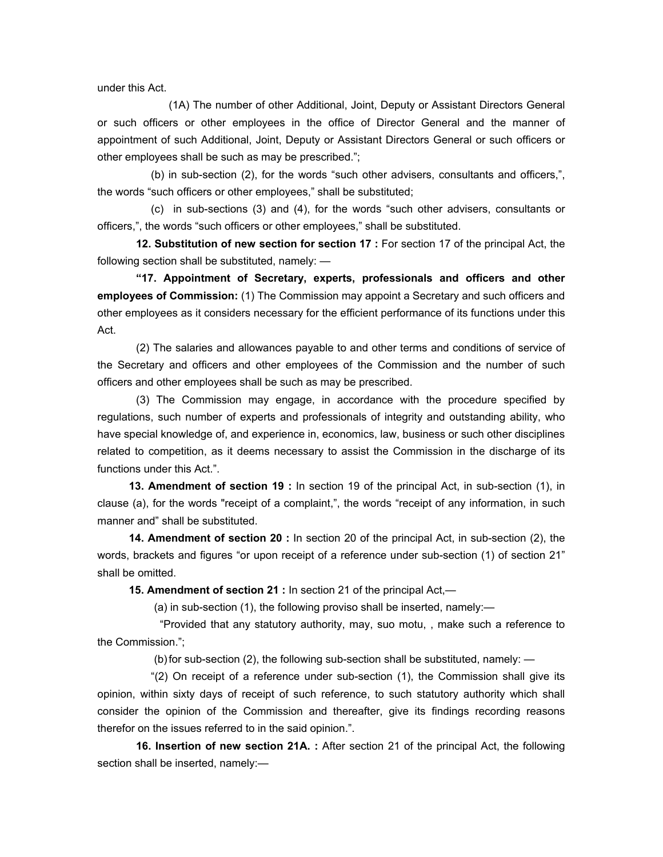under this Act.

 (1A) The number of other Additional, Joint, Deputy or Assistant Directors General or such officers or other employees in the office of Director General and the manner of appointment of such Additional, Joint, Deputy or Assistant Directors General or such officers or other employees shall be such as may be prescribed.";

 (b) in sub-section (2), for the words "such other advisers, consultants and officers,", the words "such officers or other employees," shall be substituted;

 (c) in sub-sections (3) and (4), for the words "such other advisers, consultants or officers,", the words "such officers or other employees," shall be substituted.

 **12. Substitution of new section for section 17 :** For section 17 of the principal Act, the following section shall be substituted, namely: —

**"17. Appointment of Secretary, experts, professionals and officers and other employees of Commission:** (1) The Commission may appoint a Secretary and such officers and other employees as it considers necessary for the efficient performance of its functions under this Act.

 (2) The salaries and allowances payable to and other terms and conditions of service of the Secretary and officers and other employees of the Commission and the number of such officers and other employees shall be such as may be prescribed.

 (3) The Commission may engage, in accordance with the procedure specified by regulations, such number of experts and professionals of integrity and outstanding ability, who have special knowledge of, and experience in, economics, law, business or such other disciplines related to competition, as it deems necessary to assist the Commission in the discharge of its functions under this Act.".

 **13. Amendment of section 19 :** In section 19 of the principal Act, in sub-section (1), in clause (a), for the words "receipt of a complaint,", the words "receipt of any information, in such manner and" shall be substituted.

 **14. Amendment of section 20 :** In section 20 of the principal Act, in sub-section (2), the words, brackets and figures "or upon receipt of a reference under sub-section (1) of section 21" shall be omitted.

 **15. Amendment of section 21 :** In section 21 of the principal Act,—

(a) in sub-section (1), the following proviso shall be inserted, namely:—

 "Provided that any statutory authority, may, suo motu, , make such a reference to the Commission.";

(b) for sub-section  $(2)$ , the following sub-section shall be substituted, namely:  $-$ 

 "(2) On receipt of a reference under sub-section (1), the Commission shall give its opinion, within sixty days of receipt of such reference, to such statutory authority which shall consider the opinion of the Commission and thereafter, give its findings recording reasons therefor on the issues referred to in the said opinion.".

 **16. Insertion of new section 21A. :** After section 21 of the principal Act, the following section shall be inserted, namely:-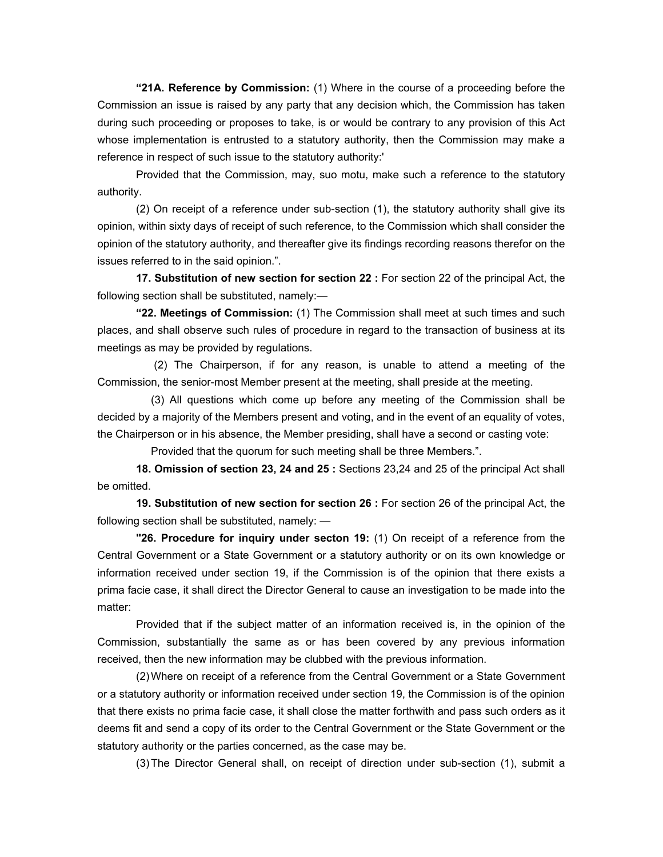**"21A. Reference by Commission:** (1) Where in the course of a proceeding before the Commission an issue is raised by any party that any decision which, the Commission has taken during such proceeding or proposes to take, is or would be contrary to any provision of this Act whose implementation is entrusted to a statutory authority, then the Commission may make a reference in respect of such issue to the statutory authority:'

 Provided that the Commission, may, suo motu, make such a reference to the statutory authority.

 (2) On receipt of a reference under sub-section (1), the statutory authority shall give its opinion, within sixty days of receipt of such reference, to the Commission which shall consider the opinion of the statutory authority, and thereafter give its findings recording reasons therefor on the issues referred to in the said opinion.".

 **17. Substitution of new section for section 22 :** For section 22 of the principal Act, the following section shall be substituted, namely:—

**"22. Meetings of Commission:** (1) The Commission shall meet at such times and such places, and shall observe such rules of procedure in regard to the transaction of business at its meetings as may be provided by regulations.

 (2) The Chairperson, if for any reason, is unable to attend a meeting of the Commission, the senior-most Member present at the meeting, shall preside at the meeting.

 (3) All questions which come up before any meeting of the Commission shall be decided by a majority of the Members present and voting, and in the event of an equality of votes, the Chairperson or in his absence, the Member presiding, shall have a second or casting vote:

Provided that the quorum for such meeting shall be three Members.".

 **18. Omission of section 23, 24 and 25 :** Sections 23,24 and 25 of the principal Act shall be omitted.

 **19. Substitution of new section for section 26 :** For section 26 of the principal Act, the following section shall be substituted, namely: —

**"26. Procedure for inquiry under secton 19:** (1) On receipt of a reference from the Central Government or a State Government or a statutory authority or on its own knowledge or information received under section 19, if the Commission is of the opinion that there exists a prima facie case, it shall direct the Director General to cause an investigation to be made into the matter:

 Provided that if the subject matter of an information received is, in the opinion of the Commission, substantially the same as or has been covered by any previous information received, then the new information may be clubbed with the previous information.

 (2) Where on receipt of a reference from the Central Government or a State Government or a statutory authority or information received under section 19, the Commission is of the opinion that there exists no prima facie case, it shall close the matter forthwith and pass such orders as it deems fit and send a copy of its order to the Central Government or the State Government or the statutory authority or the parties concerned, as the case may be.

(3) The Director General shall, on receipt of direction under sub-section (1), submit a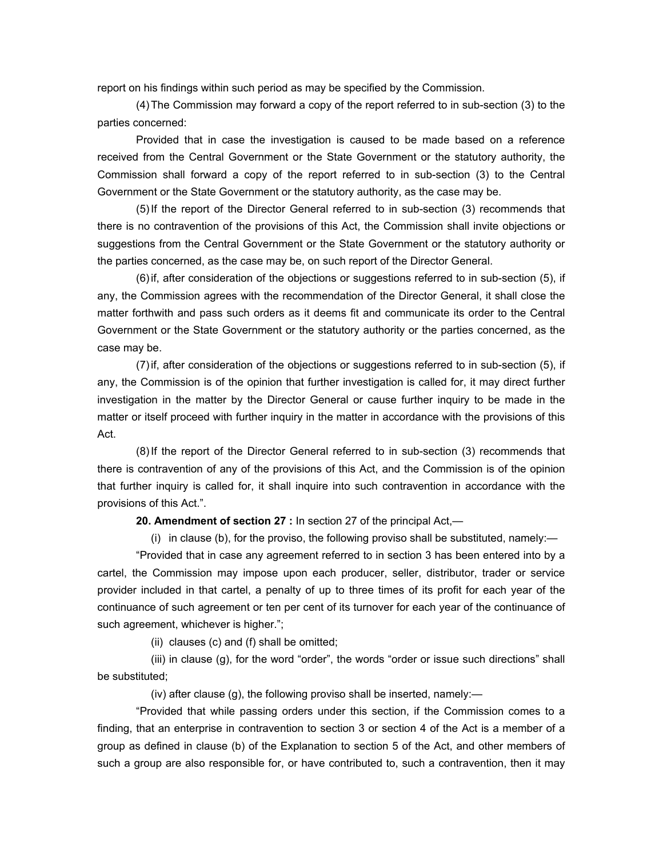report on his findings within such period as may be specified by the Commission.

 (4) The Commission may forward a copy of the report referred to in sub-section (3) to the parties concerned:

 Provided that in case the investigation is caused to be made based on a reference received from the Central Government or the State Government or the statutory authority, the Commission shall forward a copy of the report referred to in sub-section (3) to the Central Government or the State Government or the statutory authority, as the case may be.

 (5) If the report of the Director General referred to in sub-section (3) recommends that there is no contravention of the provisions of this Act, the Commission shall invite objections or suggestions from the Central Government or the State Government or the statutory authority or the parties concerned, as the case may be, on such report of the Director General.

 (6) if, after consideration of the objections or suggestions referred to in sub-section (5), if any, the Commission agrees with the recommendation of the Director General, it shall close the matter forthwith and pass such orders as it deems fit and communicate its order to the Central Government or the State Government or the statutory authority or the parties concerned, as the case may be.

 (7) if, after consideration of the objections or suggestions referred to in sub-section (5), if any, the Commission is of the opinion that further investigation is called for, it may direct further investigation in the matter by the Director General or cause further inquiry to be made in the matter or itself proceed with further inquiry in the matter in accordance with the provisions of this Act.

 (8) If the report of the Director General referred to in sub-section (3) recommends that there is contravention of any of the provisions of this Act, and the Commission is of the opinion that further inquiry is called for, it shall inquire into such contravention in accordance with the provisions of this Act.".

 **20. Amendment of section 27 :** In section 27 of the principal Act,—

(i) in clause (b), for the proviso, the following proviso shall be substituted, namely:—

 "Provided that in case any agreement referred to in section 3 has been entered into by a cartel, the Commission may impose upon each producer, seller, distributor, trader or service provider included in that cartel, a penalty of up to three times of its profit for each year of the continuance of such agreement or ten per cent of its turnover for each year of the continuance of such agreement, whichever is higher.";

(ii) clauses (c) and (f) shall be omitted;

 (iii) in clause (g), for the word "order", the words "order or issue such directions" shall be substituted;

(iv) after clause (g), the following proviso shall be inserted, namely:—

 "Provided that while passing orders under this section, if the Commission comes to a finding, that an enterprise in contravention to section 3 or section 4 of the Act is a member of a group as defined in clause (b) of the Explanation to section 5 of the Act, and other members of such a group are also responsible for, or have contributed to, such a contravention, then it may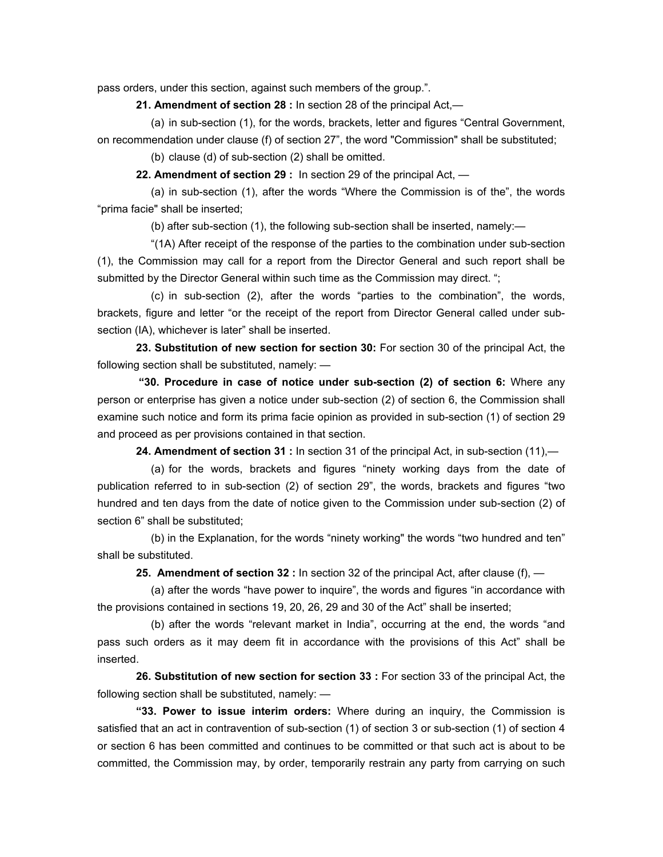pass orders, under this section, against such members of the group.".

 **21. Amendment of section 28 :** In section 28 of the principal Act,—

 (a) in sub-section (1), for the words, brackets, letter and figures "Central Government, on recommendation under clause (f) of section 27", the word "Commission" shall be substituted;

(b) clause (d) of sub-section (2) shall be omitted.

 **22. Amendment of section 29 :** In section 29 of the principal Act, —

 (a) in sub-section (1), after the words "Where the Commission is of the", the words "prima facie" shall be inserted;

(b) after sub-section (1), the following sub-section shall be inserted, namely:—

 "(1A) After receipt of the response of the parties to the combination under sub-section (1), the Commission may call for a report from the Director General and such report shall be submitted by the Director General within such time as the Commission may direct. ";

 (c) in sub-section (2), after the words "parties to the combination", the words, brackets, figure and letter "or the receipt of the report from Director General called under subsection (IA), whichever is later" shall be inserted.

 **23. Substitution of new section for section 30:** For section 30 of the principal Act, the following section shall be substituted, namely: —

 **"30. Procedure in case of notice under sub-section (2) of section 6:** Where any person or enterprise has given a notice under sub-section (2) of section 6, the Commission shall examine such notice and form its prima facie opinion as provided in sub-section (1) of section 29 and proceed as per provisions contained in that section.

 **24. Amendment of section 31 :** In section 31 of the principal Act, in sub-section (11),—

 (a) for the words, brackets and figures "ninety working days from the date of publication referred to in sub-section (2) of section 29", the words, brackets and figures "two hundred and ten days from the date of notice given to the Commission under sub-section (2) of section 6" shall be substituted;

 (b) in the Explanation, for the words "ninety working" the words "two hundred and ten" shall be substituted.

**25. Amendment of section 32 :** In section 32 of the principal Act, after clause (f), —

(a) after the words "have power to inquire", the words and figures "in accordance with the provisions contained in sections 19, 20, 26, 29 and 30 of the Act" shall be inserted;

 (b) after the words "relevant market in India", occurring at the end, the words "and pass such orders as it may deem fit in accordance with the provisions of this Act" shall be inserted.

 **26. Substitution of new section for section 33 :** For section 33 of the principal Act, the following section shall be substituted, namely: —

**"33. Power to issue interim orders:** Where during an inquiry, the Commission is satisfied that an act in contravention of sub-section (1) of section 3 or sub-section (1) of section 4 or section 6 has been committed and continues to be committed or that such act is about to be committed, the Commission may, by order, temporarily restrain any party from carrying on such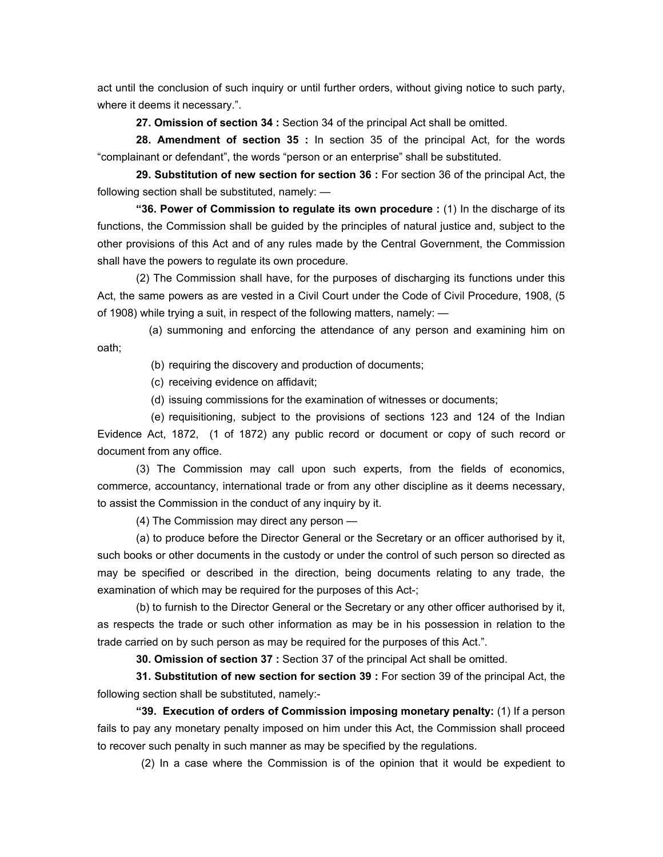act until the conclusion of such inquiry or until further orders, without giving notice to such party, where it deems it necessary.".

 **27. Omission of section 34 :** Section 34 of the principal Act shall be omitted.

 **28. Amendment of section 35 :** In section 35 of the principal Act, for the words "complainant or defendant", the words "person or an enterprise" shall be substituted.

 **29. Substitution of new section for section 36 :** For section 36 of the principal Act, the following section shall be substituted, namely: —

 **"36. Power of Commission to regulate its own procedure :** (1) In the discharge of its functions, the Commission shall be guided by the principles of natural justice and, subject to the other provisions of this Act and of any rules made by the Central Government, the Commission shall have the powers to regulate its own procedure.

 (2) The Commission shall have, for the purposes of discharging its functions under this Act, the same powers as are vested in a Civil Court under the Code of Civil Procedure, 1908, (5 of 1908) while trying a suit, in respect of the following matters, namely: —

 (a) summoning and enforcing the attendance of any person and examining him on oath;

(b) requiring the discovery and production of documents;

(c) receiving evidence on affidavit;

(d) issuing commissions for the examination of witnesses or documents;

 (e) requisitioning, subject to the provisions of sections 123 and 124 of the Indian Evidence Act, 1872, (1 of 1872) any public record or document or copy of such record or document from any office.

 (3) The Commission may call upon such experts, from the fields of economics, commerce, accountancy, international trade or from any other discipline as it deems necessary, to assist the Commission in the conduct of any inquiry by it.

(4) The Commission may direct any person —

 (a) to produce before the Director General or the Secretary or an officer authorised by it, such books or other documents in the custody or under the control of such person so directed as may be specified or described in the direction, being documents relating to any trade, the examination of which may be required for the purposes of this Act-;

 (b) to furnish to the Director General or the Secretary or any other officer authorised by it, as respects the trade or such other information as may be in his possession in relation to the trade carried on by such person as may be required for the purposes of this Act.".

 **30. Omission of section 37 :** Section 37 of the principal Act shall be omitted.

**31. Substitution of new section for section 39 :** For section 39 of the principal Act, the following section shall be substituted, namely:-

**"39. Execution of orders of Commission imposing monetary penalty:** (1) If a person fails to pay any monetary penalty imposed on him under this Act, the Commission shall proceed to recover such penalty in such manner as may be specified by the regulations.

(2) In a case where the Commission is of the opinion that it would be expedient to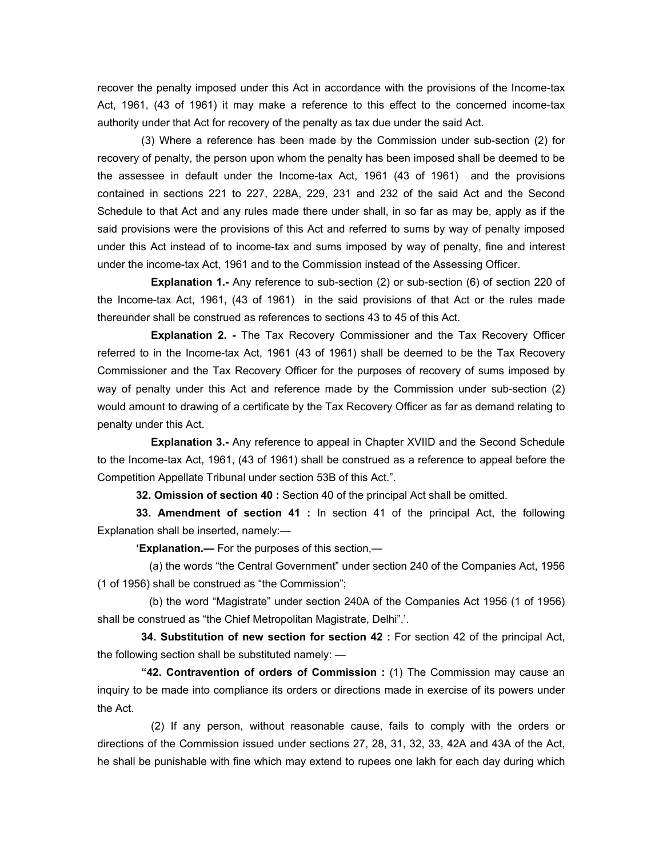recover the penalty imposed under this Act in accordance with the provisions of the Income-tax Act, 1961, (43 of 1961) it may make a reference to this effect to the concerned income-tax authority under that Act for recovery of the penalty as tax due under the said Act.

 (3) Where a reference has been made by the Commission under sub-section (2) for recovery of penalty, the person upon whom the penalty has been imposed shall be deemed to be the assessee in default under the Income-tax Act, 1961 (43 of 1961) and the provisions contained in sections 221 to 227, 228A, 229, 231 and 232 of the said Act and the Second Schedule to that Act and any rules made there under shall, in so far as may be, apply as if the said provisions were the provisions of this Act and referred to sums by way of penalty imposed under this Act instead of to income-tax and sums imposed by way of penalty, fine and interest under the income-tax Act, 1961 and to the Commission instead of the Assessing Officer.

 **Explanation 1.-** Any reference to sub-section (2) or sub-section (6) of section 220 of the Income-tax Act, 1961, (43 of 1961) in the said provisions of that Act or the rules made thereunder shall be construed as references to sections 43 to 45 of this Act.

 **Explanation 2. -** The Tax Recovery Commissioner and the Tax Recovery Officer referred to in the Income-tax Act, 1961 (43 of 1961) shall be deemed to be the Tax Recovery Commissioner and the Tax Recovery Officer for the purposes of recovery of sums imposed by way of penalty under this Act and reference made by the Commission under sub-section (2) would amount to drawing of a certificate by the Tax Recovery Officer as far as demand relating to penalty under this Act.

 **Explanation 3.-** Any reference to appeal in Chapter XVIID and the Second Schedule to the Income-tax Act, 1961, (43 of 1961) shall be construed as a reference to appeal before the Competition Appellate Tribunal under section 53B of this Act.".

 **32. Omission of section 40 :** Section 40 of the principal Act shall be omitted.

 **33. Amendment of section 41 :** In section 41 of the principal Act, the following Explanation shall be inserted, namely:—

**'Explanation.—** For the purposes of this section,—

 (a) the words "the Central Government" under section 240 of the Companies Act, 1956 (1 of 1956) shall be construed as "the Commission";

 (b) the word "Magistrate" under section 240A of the Companies Act 1956 (1 of 1956) shall be construed as "the Chief Metropolitan Magistrate, Delhi".'.

**34. Substitution of new section for section 42 :** For section 42 of the principal Act, the following section shall be substituted namely: —

 **"42. Contravention of orders of Commission :** (1) The Commission may cause an inquiry to be made into compliance its orders or directions made in exercise of its powers under the Act.

 (2) If any person, without reasonable cause, fails to comply with the orders or directions of the Commission issued under sections 27, 28, 31, 32, 33, 42A and 43A of the Act, he shall be punishable with fine which may extend to rupees one lakh for each day during which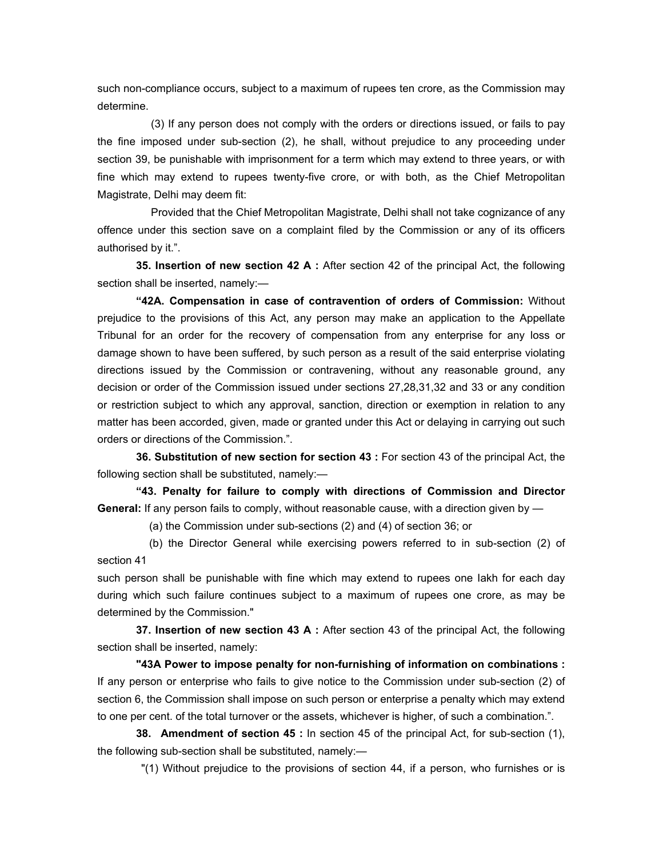such non-compliance occurs, subject to a maximum of rupees ten crore, as the Commission may determine.

 (3) If any person does not comply with the orders or directions issued, or fails to pay the fine imposed under sub-section (2), he shall, without prejudice to any proceeding under section 39, be punishable with imprisonment for a term which may extend to three years, or with fine which may extend to rupees twenty-five crore, or with both, as the Chief Metropolitan Magistrate, Delhi may deem fit:

 Provided that the Chief Metropolitan Magistrate, Delhi shall not take cognizance of any offence under this section save on a complaint filed by the Commission or any of its officers authorised by it.".

 **35. Insertion of new section 42 A :** After section 42 of the principal Act, the following section shall be inserted, namely:-

**"42A. Compensation in case of contravention of orders of Commission:** Without prejudice to the provisions of this Act, any person may make an application to the Appellate Tribunal for an order for the recovery of compensation from any enterprise for any loss or damage shown to have been suffered, by such person as a result of the said enterprise violating directions issued by the Commission or contravening, without any reasonable ground, any decision or order of the Commission issued under sections 27,28,31,32 and 33 or any condition or restriction subject to which any approval, sanction, direction or exemption in relation to any matter has been accorded, given, made or granted under this Act or delaying in carrying out such orders or directions of the Commission.".

 **36. Substitution of new section for section 43 :** For section 43 of the principal Act, the following section shall be substituted, namely:—

 **"43. Penalty for failure to comply with directions of Commission and Director General:** If any person fails to comply, without reasonable cause, with a direction given by —

(a) the Commission under sub-sections (2) and (4) of section 36; or

 (b) the Director General while exercising powers referred to in sub-section (2) of section 41

such person shall be punishable with fine which may extend to rupees one Iakh for each day during which such failure continues subject to a maximum of rupees one crore, as may be determined by the Commission."

 **37. Insertion of new section 43 A :** After section 43 of the principal Act, the following section shall be inserted, namely:

 **"43A Power to impose penalty for non-furnishing of information on combinations :** If any person or enterprise who fails to give notice to the Commission under sub-section (2) of section 6, the Commission shall impose on such person or enterprise a penalty which may extend to one per cent. of the total turnover or the assets, whichever is higher, of such a combination.".

**38. Amendment of section 45 :** In section 45 of the principal Act, for sub-section (1), the following sub-section shall be substituted, namely:—

"(1) Without prejudice to the provisions of section 44, if a person, who furnishes or is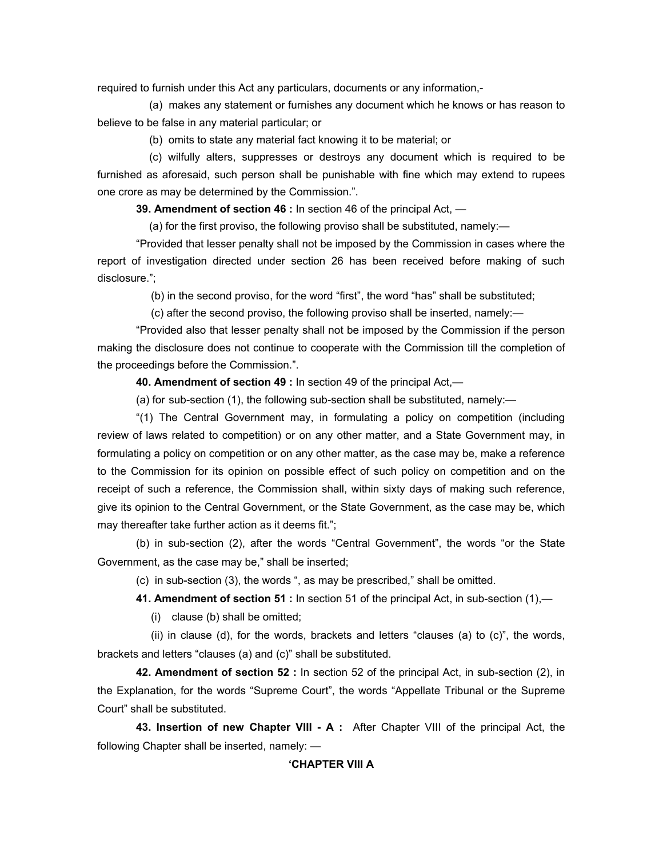required to furnish under this Act any particulars, documents or any information,-

 (a) makes any statement or furnishes any document which he knows or has reason to believe to be false in any material particular; or

(b) omits to state any material fact knowing it to be material; or

 (c) wilfully alters, suppresses or destroys any document which is required to be furnished as aforesaid, such person shall be punishable with fine which may extend to rupees one crore as may be determined by the Commission.".

 **39. Amendment of section 46 :** In section 46 of the principal Act, —

(a) for the first proviso, the following proviso shall be substituted, namely:—

 "Provided that lesser penalty shall not be imposed by the Commission in cases where the report of investigation directed under section 26 has been received before making of such disclosure.";

(b) in the second proviso, for the word "first", the word "has" shall be substituted;

(c) after the second proviso, the following proviso shall be inserted, namely:—

 "Provided also that lesser penalty shall not be imposed by the Commission if the person making the disclosure does not continue to cooperate with the Commission till the completion of the proceedings before the Commission.".

 **40. Amendment of section 49 :** In section 49 of the principal Act,—

(a) for sub-section (1), the following sub-section shall be substituted, namely:—

 "(1) The Central Government may, in formulating a policy on competition (including review of laws related to competition) or on any other matter, and a State Government may, in formulating a policy on competition or on any other matter, as the case may be, make a reference to the Commission for its opinion on possible effect of such policy on competition and on the receipt of such a reference, the Commission shall, within sixty days of making such reference, give its opinion to the Central Government, or the State Government, as the case may be, which may thereafter take further action as it deems fit.";

 (b) in sub-section (2), after the words "Central Government", the words "or the State Government, as the case may be," shall be inserted;

(c) in sub-section (3), the words ", as may be prescribed," shall be omitted.

 **41. Amendment of section 51 :** In section 51 of the principal Act, in sub-section (1),—

(i) clause (b) shall be omitted;

(ii) in clause (d), for the words, brackets and letters "clauses (a) to  $(c)$ ", the words, brackets and letters "clauses (a) and (c)" shall be substituted.

 **42. Amendment of section 52 :** In section 52 of the principal Act, in sub-section (2), in the Explanation, for the words "Supreme Court", the words "Appellate Tribunal or the Supreme Court" shall be substituted.

 **43. Insertion of new Chapter VIII - A :** After Chapter VIII of the principal Act, the following Chapter shall be inserted, namely: —

#### **'CHAPTER VIII A**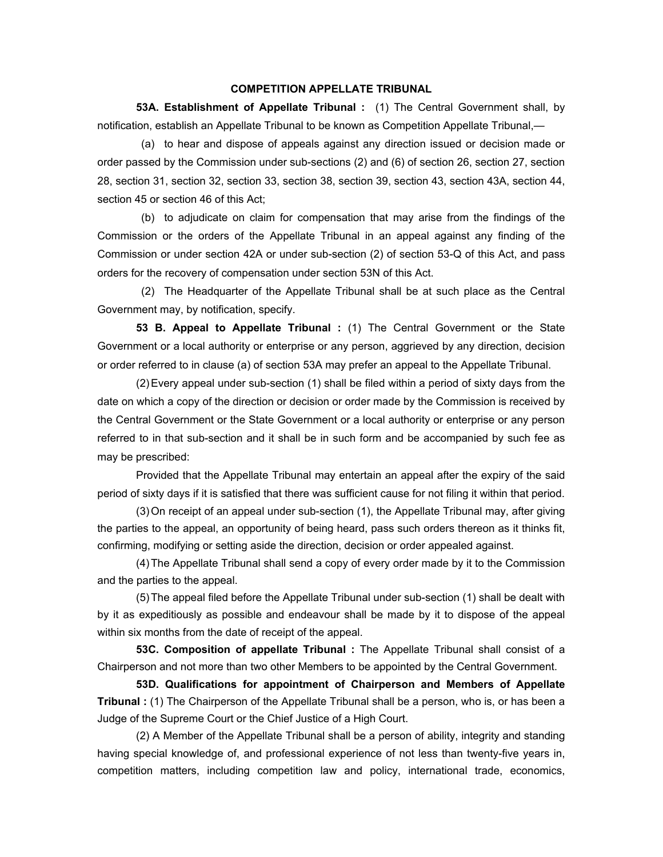#### **COMPETITION APPELLATE TRIBUNAL**

 **53A. Establishment of Appellate Tribunal :** (1) The Central Government shall, by notification, establish an Appellate Tribunal to be known as Competition Appellate Tribunal,—

 (a) to hear and dispose of appeals against any direction issued or decision made or order passed by the Commission under sub-sections (2) and (6) of section 26, section 27, section 28, section 31, section 32, section 33, section 38, section 39, section 43, section 43A, section 44, section 45 or section 46 of this Act;

 (b) to adjudicate on claim for compensation that may arise from the findings of the Commission or the orders of the Appellate Tribunal in an appeal against any finding of the Commission or under section 42A or under sub-section (2) of section 53-Q of this Act, and pass orders for the recovery of compensation under section 53N of this Act.

 (2) The Headquarter of the Appellate Tribunal shall be at such place as the Central Government may, by notification, specify.

 **53 B. Appeal to Appellate Tribunal :** (1) The Central Government or the State Government or a local authority or enterprise or any person, aggrieved by any direction, decision or order referred to in clause (a) of section 53A may prefer an appeal to the Appellate Tribunal.

 (2) Every appeal under sub-section (1) shall be filed within a period of sixty days from the date on which a copy of the direction or decision or order made by the Commission is received by the Central Government or the State Government or a local authority or enterprise or any person referred to in that sub-section and it shall be in such form and be accompanied by such fee as may be prescribed:

 Provided that the Appellate Tribunal may entertain an appeal after the expiry of the said period of sixty days if it is satisfied that there was sufficient cause for not filing it within that period.

 (3) On receipt of an appeal under sub-section (1), the Appellate Tribunal may, after giving the parties to the appeal, an opportunity of being heard, pass such orders thereon as it thinks fit, confirming, modifying or setting aside the direction, decision or order appealed against.

 (4) The Appellate Tribunal shall send a copy of every order made by it to the Commission and the parties to the appeal.

 (5) The appeal filed before the Appellate Tribunal under sub-section (1) shall be dealt with by it as expeditiously as possible and endeavour shall be made by it to dispose of the appeal within six months from the date of receipt of the appeal.

 **53C. Composition of appellate Tribunal :** The Appellate Tribunal shall consist of a Chairperson and not more than two other Members to be appointed by the Central Government.

 **53D. Qualifications for appointment of Chairperson and Members of Appellate Tribunal :** (1) The Chairperson of the Appellate Tribunal shall be a person, who is, or has been a Judge of the Supreme Court or the Chief Justice of a High Court.

 (2) A Member of the Appellate Tribunal shall be a person of ability, integrity and standing having special knowledge of, and professional experience of not less than twenty-five years in, competition matters, including competition law and policy, international trade, economics,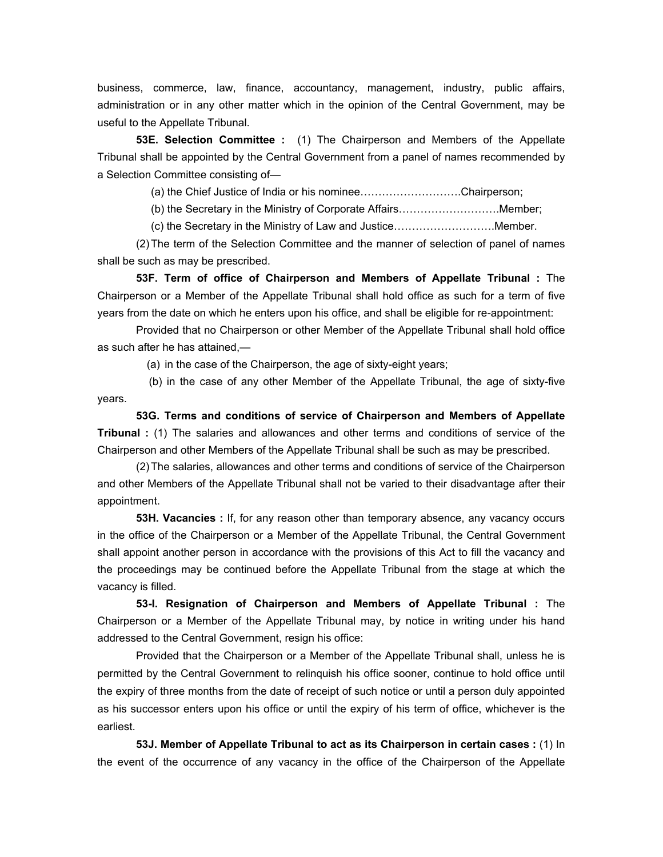business, commerce, law, finance, accountancy, management, industry, public affairs, administration or in any other matter which in the opinion of the Central Government, may be useful to the Appellate Tribunal.

 **53E. Selection Committee :** (1) The Chairperson and Members of the Appellate Tribunal shall be appointed by the Central Government from a panel of names recommended by a Selection Committee consisting of—

(a) the Chief Justice of India or his nominee……………………….Chairperson;

(b) the Secretary in the Ministry of Corporate Affairs……………………….Member;

(c) the Secretary in the Ministry of Law and Justice……………………….Member.

 (2) The term of the Selection Committee and the manner of selection of panel of names shall be such as may be prescribed.

 **53F. Term of office of Chairperson and Members of Appellate Tribunal :** The Chairperson or a Member of the Appellate Tribunal shall hold office as such for a term of five years from the date on which he enters upon his office, and shall be eligible for re-appointment:

 Provided that no Chairperson or other Member of the Appellate Tribunal shall hold office as such after he has attained,—

(a) in the case of the Chairperson, the age of sixty-eight years;

 (b) in the case of any other Member of the Appellate Tribunal, the age of sixty-five years.

 **53G. Terms and conditions of service of Chairperson and Members of Appellate Tribunal :** (1) The salaries and allowances and other terms and conditions of service of the Chairperson and other Members of the Appellate Tribunal shall be such as may be prescribed.

 (2) The salaries, allowances and other terms and conditions of service of the Chairperson and other Members of the Appellate Tribunal shall not be varied to their disadvantage after their appointment.

 **53H. Vacancies :** If, for any reason other than temporary absence, any vacancy occurs in the office of the Chairperson or a Member of the Appellate Tribunal, the Central Government shall appoint another person in accordance with the provisions of this Act to fill the vacancy and the proceedings may be continued before the Appellate Tribunal from the stage at which the vacancy is filled.

 **53-I. Resignation of Chairperson and Members of Appellate Tribunal :** The Chairperson or a Member of the Appellate Tribunal may, by notice in writing under his hand addressed to the Central Government, resign his office:

 Provided that the Chairperson or a Member of the Appellate Tribunal shall, unless he is permitted by the Central Government to relinquish his office sooner, continue to hold office until the expiry of three months from the date of receipt of such notice or until a person duly appointed as his successor enters upon his office or until the expiry of his term of office, whichever is the earliest.

 **53J. Member of Appellate Tribunal to act as its Chairperson in certain cases :** (1) In the event of the occurrence of any vacancy in the office of the Chairperson of the Appellate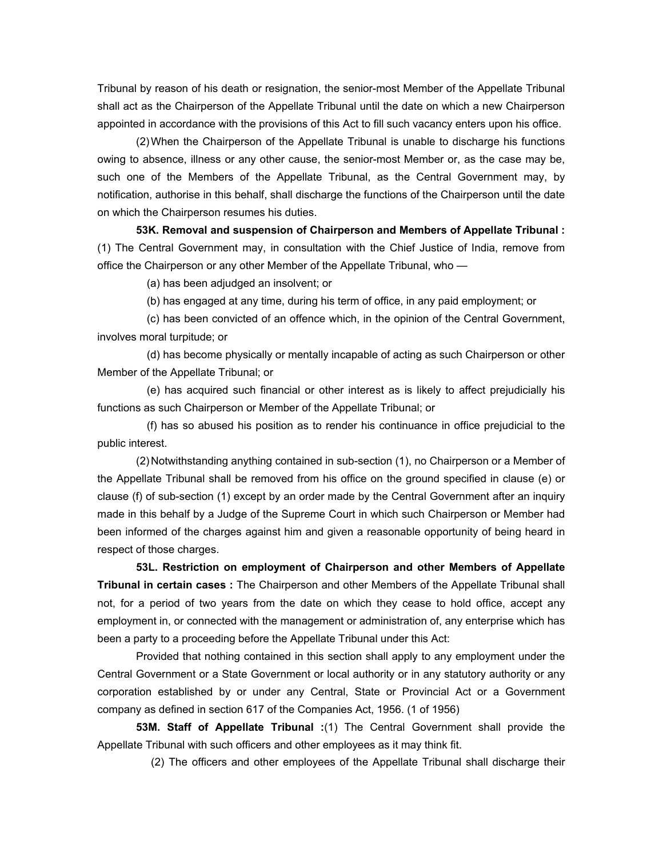Tribunal by reason of his death or resignation, the senior-most Member of the Appellate Tribunal shall act as the Chairperson of the Appellate Tribunal until the date on which a new Chairperson appointed in accordance with the provisions of this Act to fill such vacancy enters upon his office.

 (2) When the Chairperson of the Appellate Tribunal is unable to discharge his functions owing to absence, illness or any other cause, the senior-most Member or, as the case may be, such one of the Members of the Appellate Tribunal, as the Central Government may, by notification, authorise in this behalf, shall discharge the functions of the Chairperson until the date on which the Chairperson resumes his duties.

 **53K. Removal and suspension of Chairperson and Members of Appellate Tribunal :**  (1) The Central Government may, in consultation with the Chief Justice of India, remove from office the Chairperson or any other Member of the Appellate Tribunal, who —

(a) has been adjudged an insolvent; or

(b) has engaged at any time, during his term of office, in any paid employment; or

 (c) has been convicted of an offence which, in the opinion of the Central Government, involves moral turpitude; or

 (d) has become physically or mentally incapable of acting as such Chairperson or other Member of the Appellate Tribunal; or

 (e) has acquired such financial or other interest as is likely to affect prejudicially his functions as such Chairperson or Member of the Appellate Tribunal; or

 (f) has so abused his position as to render his continuance in office prejudicial to the public interest.

 (2) Notwithstanding anything contained in sub-section (1), no Chairperson or a Member of the Appellate Tribunal shall be removed from his office on the ground specified in clause (e) or clause (f) of sub-section (1) except by an order made by the Central Government after an inquiry made in this behalf by a Judge of the Supreme Court in which such Chairperson or Member had been informed of the charges against him and given a reasonable opportunity of being heard in respect of those charges.

 **53L. Restriction on employment of Chairperson and other Members of Appellate Tribunal in certain cases :** The Chairperson and other Members of the Appellate Tribunal shall not, for a period of two years from the date on which they cease to hold office, accept any employment in, or connected with the management or administration of, any enterprise which has been a party to a proceeding before the Appellate Tribunal under this Act:

 Provided that nothing contained in this section shall apply to any employment under the Central Government or a State Government or local authority or in any statutory authority or any corporation established by or under any Central, State or Provincial Act or a Government company as defined in section 617 of the Companies Act, 1956. (1 of 1956)

 **53M. Staff of Appellate Tribunal :**(1) The Central Government shall provide the Appellate Tribunal with such officers and other employees as it may think fit.

(2) The officers and other employees of the Appellate Tribunal shall discharge their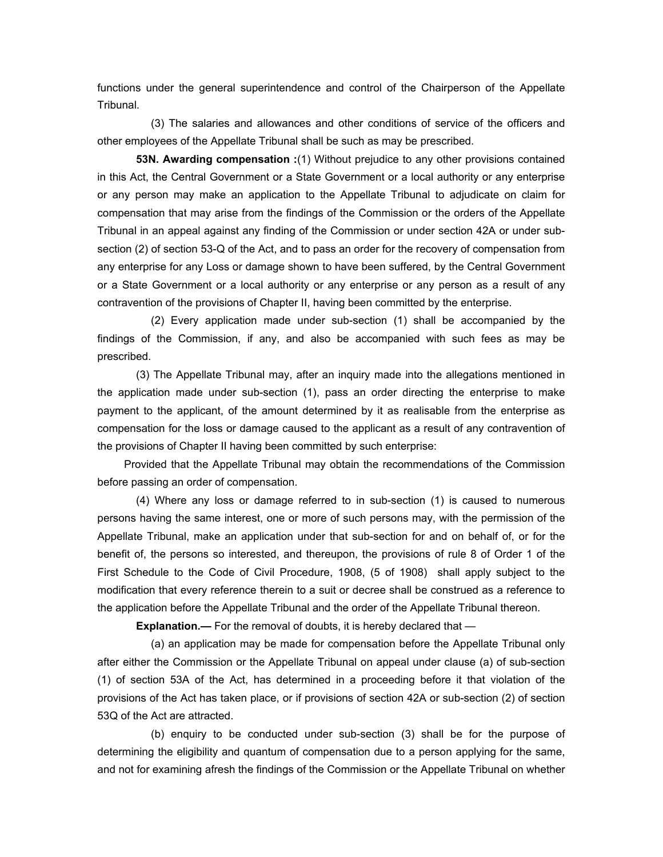functions under the general superintendence and control of the Chairperson of the Appellate Tribunal.

 (3) The salaries and allowances and other conditions of service of the officers and other employees of the Appellate Tribunal shall be such as may be prescribed.

 **53N. Awarding compensation :**(1) Without prejudice to any other provisions contained in this Act, the Central Government or a State Government or a local authority or any enterprise or any person may make an application to the Appellate Tribunal to adjudicate on claim for compensation that may arise from the findings of the Commission or the orders of the Appellate Tribunal in an appeal against any finding of the Commission or under section 42A or under subsection (2) of section 53-Q of the Act, and to pass an order for the recovery of compensation from any enterprise for any Loss or damage shown to have been suffered, by the Central Government or a State Government or a local authority or any enterprise or any person as a result of any contravention of the provisions of Chapter II, having been committed by the enterprise.

 (2) Every application made under sub-section (1) shall be accompanied by the findings of the Commission, if any, and also be accompanied with such fees as may be prescribed.

 (3) The Appellate Tribunal may, after an inquiry made into the allegations mentioned in the application made under sub-section (1), pass an order directing the enterprise to make payment to the applicant, of the amount determined by it as realisable from the enterprise as compensation for the loss or damage caused to the applicant as a result of any contravention of the provisions of Chapter II having been committed by such enterprise:

 Provided that the Appellate Tribunal may obtain the recommendations of the Commission before passing an order of compensation.

 (4) Where any loss or damage referred to in sub-section (1) is caused to numerous persons having the same interest, one or more of such persons may, with the permission of the Appellate Tribunal, make an application under that sub-section for and on behalf of, or for the benefit of, the persons so interested, and thereupon, the provisions of rule 8 of Order 1 of the First Schedule to the Code of Civil Procedure, 1908, (5 of 1908) shall apply subject to the modification that every reference therein to a suit or decree shall be construed as a reference to the application before the Appellate Tribunal and the order of the Appellate Tribunal thereon.

**Explanation.—** For the removal of doubts, it is hereby declared that —

 (a) an application may be made for compensation before the Appellate Tribunal only after either the Commission or the Appellate Tribunal on appeal under clause (a) of sub-section (1) of section 53A of the Act, has determined in a proceeding before it that violation of the provisions of the Act has taken place, or if provisions of section 42A or sub-section (2) of section 53Q of the Act are attracted.

 (b) enquiry to be conducted under sub-section (3) shall be for the purpose of determining the eligibility and quantum of compensation due to a person applying for the same, and not for examining afresh the findings of the Commission or the Appellate Tribunal on whether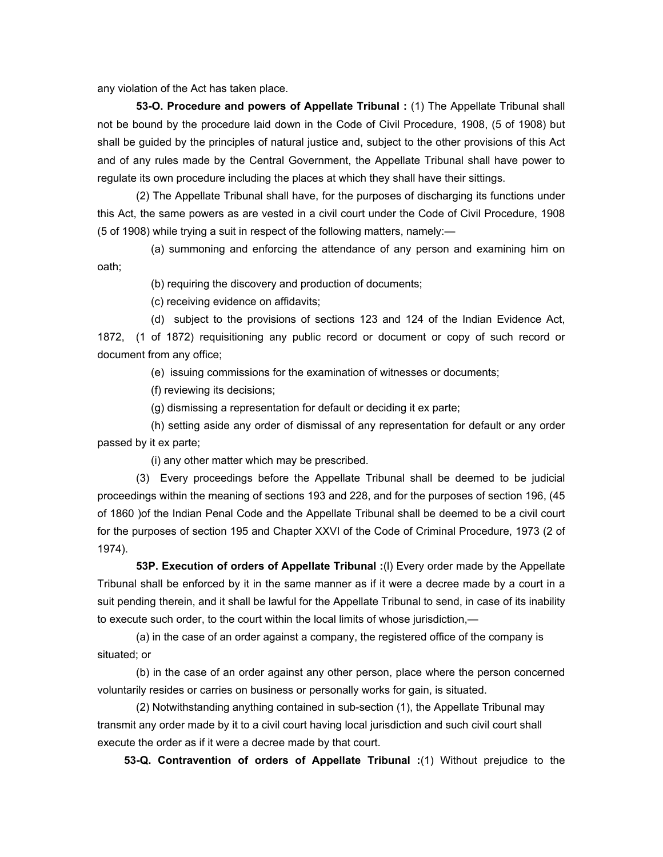any violation of the Act has taken place.

 **53-O. Procedure and powers of Appellate Tribunal :** (1) The Appellate Tribunal shall not be bound by the procedure laid down in the Code of Civil Procedure, 1908, (5 of 1908) but shall be guided by the principles of natural justice and, subject to the other provisions of this Act and of any rules made by the Central Government, the Appellate Tribunal shall have power to regulate its own procedure including the places at which they shall have their sittings.

 (2) The Appellate Tribunal shall have, for the purposes of discharging its functions under this Act, the same powers as are vested in a civil court under the Code of Civil Procedure, 1908 (5 of 1908) while trying a suit in respect of the following matters, namely:—

 (a) summoning and enforcing the attendance of any person and examining him on oath;

(b) requiring the discovery and production of documents;

(c) receiving evidence on affidavits;

(d) subject to the provisions of sections 123 and 124 of the Indian Evidence Act,

1872, (1 of 1872) requisitioning any public record or document or copy of such record or document from any office;

(e) issuing commissions for the examination of witnesses or documents;

(f) reviewing its decisions;

(g) dismissing a representation for default or deciding it ex parte;

 (h) setting aside any order of dismissal of any representation for default or any order passed by it ex parte;

(i) any other matter which may be prescribed.

 (3) Every proceedings before the Appellate Tribunal shall be deemed to be judicial proceedings within the meaning of sections 193 and 228, and for the purposes of section 196, (45 of 1860 )of the Indian Penal Code and the Appellate Tribunal shall be deemed to be a civil court for the purposes of section 195 and Chapter XXVI of the Code of Criminal Procedure, 1973 (2 of 1974).

 **53P. Execution of orders of Appellate Tribunal :**(l) Every order made by the Appellate Tribunal shall be enforced by it in the same manner as if it were a decree made by a court in a suit pending therein, and it shall be lawful for the Appellate Tribunal to send, in case of its inability to execute such order, to the court within the local limits of whose jurisdiction,—

 (a) in the case of an order against a company, the registered office of the company is situated; or

 (b) in the case of an order against any other person, place where the person concerned voluntarily resides or carries on business or personally works for gain, is situated.

 (2) Notwithstanding anything contained in sub-section (1), the Appellate Tribunal may transmit any order made by it to a civil court having local jurisdiction and such civil court shall execute the order as if it were a decree made by that court.

 **53-Q. Contravention of orders of Appellate Tribunal :**(1) Without prejudice to the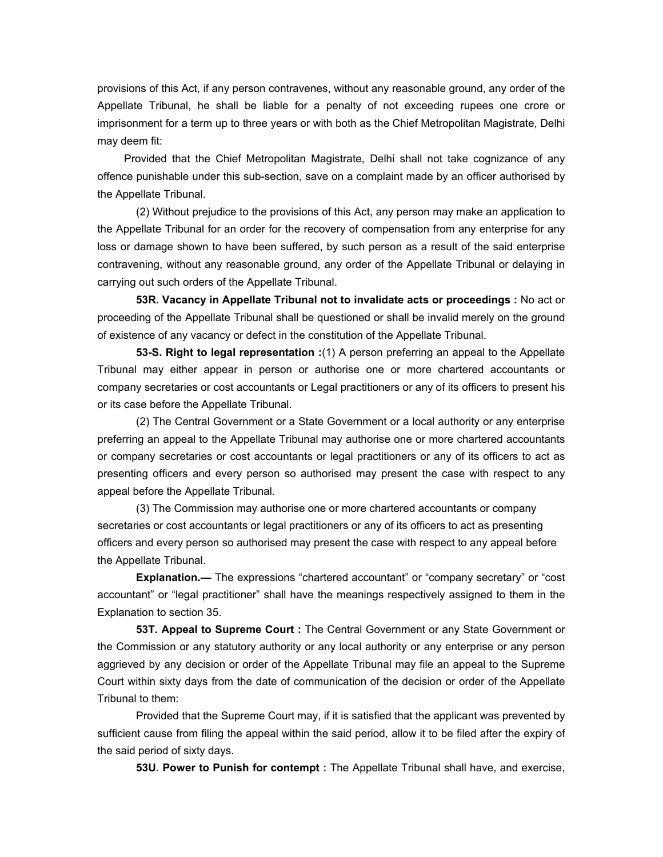provisions of this Act, if any person contravenes, without any reasonable ground, any order of the Appellate Tribunal, he shall be liable for a penalty of not exceeding rupees one crore or imprisonment for a term up to three years or with both as the Chief Metropolitan Magistrate, Delhi may deem fit:

 Provided that the Chief Metropolitan Magistrate, Delhi shall not take cognizance of any offence punishable under this sub-section, save on a complaint made by an officer authorised by the Appellate Tribunal.

 (2) Without prejudice to the provisions of this Act, any person may make an application to the Appellate Tribunal for an order for the recovery of compensation from any enterprise for any loss or damage shown to have been suffered, by such person as a result of the said enterprise contravening, without any reasonable ground, any order of the Appellate Tribunal or delaying in carrying out such orders of the Appellate Tribunal.

 **53R. Vacancy in Appellate Tribunal not to invalidate acts or proceedings :** No act or proceeding of the Appellate Tribunal shall be questioned or shall be invalid merely on the ground of existence of any vacancy or defect in the constitution of the Appellate Tribunal.

 **53-S. Right to legal representation :**(1) A person preferring an appeal to the Appellate Tribunal may either appear in person or authorise one or more chartered accountants or company secretaries or cost accountants or Legal practitioners or any of its officers to present his or its case before the Appellate Tribunal.

 (2) The Central Government or a State Government or a local authority or any enterprise preferring an appeal to the Appellate Tribunal may authorise one or more chartered accountants or company secretaries or cost accountants or legal practitioners or any of its officers to act as presenting officers and every person so authorised may present the case with respect to any appeal before the Appellate Tribunal.

 (3) The Commission may authorise one or more chartered accountants or company secretaries or cost accountants or legal practitioners or any of its officers to act as presenting officers and every person so authorised may present the case with respect to any appeal before the Appellate Tribunal.

 **Explanation.—** The expressions "chartered accountant" or "company secretary" or "cost accountant" or "legal practitioner" shall have the meanings respectively assigned to them in the Explanation to section 35.

 **53T. Appeal to Supreme Court :** The Central Government or any State Government or the Commission or any statutory authority or any local authority or any enterprise or any person aggrieved by any decision or order of the Appellate Tribunal may file an appeal to the Supreme Court within sixty days from the date of communication of the decision or order of the Appellate Tribunal to them:

 Provided that the Supreme Court may, if it is satisfied that the applicant was prevented by sufficient cause from filing the appeal within the said period, allow it to be filed after the expiry of the said period of sixty days.

 **53U. Power to Punish for contempt :** The Appellate Tribunal shall have, and exercise,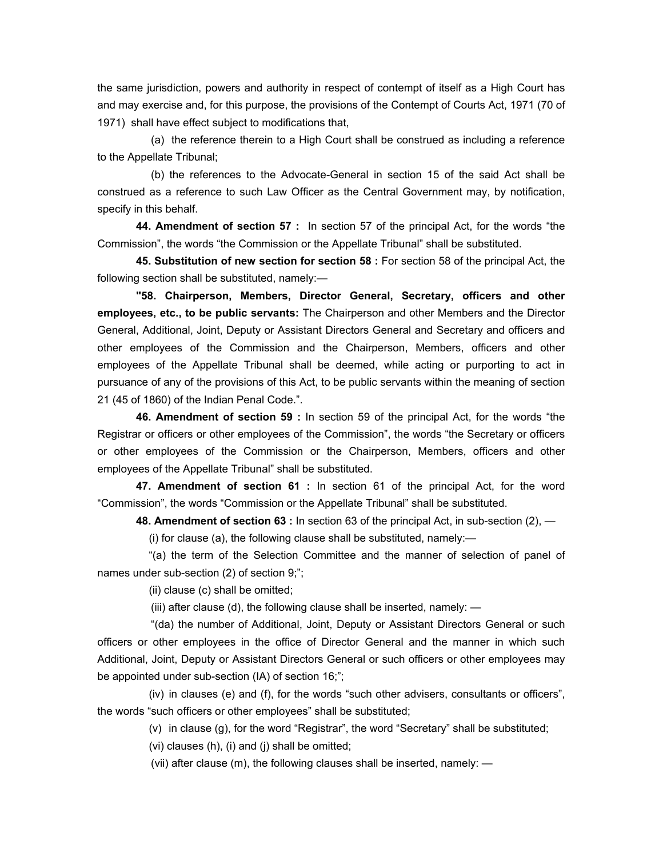the same jurisdiction, powers and authority in respect of contempt of itself as a High Court has and may exercise and, for this purpose, the provisions of the Contempt of Courts Act, 1971 (70 of 1971) shall have effect subject to modifications that,

 (a) the reference therein to a High Court shall be construed as including a reference to the Appellate Tribunal;

 (b) the references to the Advocate-General in section 15 of the said Act shall be construed as a reference to such Law Officer as the Central Government may, by notification, specify in this behalf.

 **44. Amendment of section 57 :** In section 57 of the principal Act, for the words "the Commission", the words "the Commission or the Appellate Tribunal" shall be substituted.

 **45. Substitution of new section for section 58 :** For section 58 of the principal Act, the following section shall be substituted, namely:—

 **"58. Chairperson, Members, Director General, Secretary, officers and other employees, etc., to be public servants:** The Chairperson and other Members and the Director General, Additional, Joint, Deputy or Assistant Directors General and Secretary and officers and other employees of the Commission and the Chairperson, Members, officers and other employees of the Appellate Tribunal shall be deemed, while acting or purporting to act in pursuance of any of the provisions of this Act, to be public servants within the meaning of section 21 (45 of 1860) of the Indian Penal Code.".

 **46. Amendment of section 59 :** In section 59 of the principal Act, for the words "the Registrar or officers or other employees of the Commission", the words "the Secretary or officers or other employees of the Commission or the Chairperson, Members, officers and other employees of the Appellate Tribunal" shall be substituted.

 **47. Amendment of section 61 :** In section 61 of the principal Act, for the word "Commission", the words "Commission or the Appellate Tribunal" shall be substituted.

 **48. Amendment of section 63 :** In section 63 of the principal Act, in sub-section (2), —

(i) for clause (a), the following clause shall be substituted, namely:—

 "(a) the term of the Selection Committee and the manner of selection of panel of names under sub-section (2) of section 9;";

(ii) clause (c) shall be omitted;

(iii) after clause (d), the following clause shall be inserted, namely: —

 "(da) the number of Additional, Joint, Deputy or Assistant Directors General or such officers or other employees in the office of Director General and the manner in which such Additional, Joint, Deputy or Assistant Directors General or such officers or other employees may be appointed under sub-section (IA) of section 16;";

 (iv) in clauses (e) and (f), for the words "such other advisers, consultants or officers", the words "such officers or other employees" shall be substituted;

(v) in clause (g), for the word "Registrar", the word "Secretary" shall be substituted;

(vi) clauses (h), (i) and (j) shall be omitted;

(vii) after clause (m), the following clauses shall be inserted, namely: —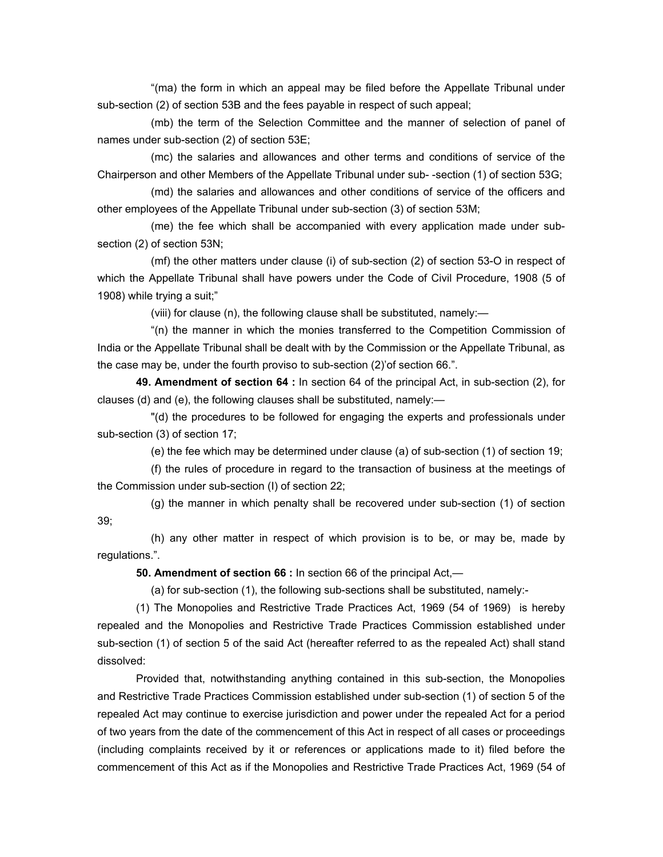"(ma) the form in which an appeal may be filed before the Appellate Tribunal under sub-section (2) of section 53B and the fees payable in respect of such appeal;

 (mb) the term of the Selection Committee and the manner of selection of panel of names under sub-section (2) of section 53E;

 (mc) the salaries and allowances and other terms and conditions of service of the Chairperson and other Members of the Appellate Tribunal under sub- -section (1) of section 53G;

 (md) the salaries and allowances and other conditions of service of the officers and other employees of the Appellate Tribunal under sub-section (3) of section 53M;

 (me) the fee which shall be accompanied with every application made under subsection (2) of section 53N;

 (mf) the other matters under clause (i) of sub-section (2) of section 53-O in respect of which the Appellate Tribunal shall have powers under the Code of Civil Procedure, 1908 (5 of 1908) while trying a suit;"

(viii) for clause (n), the following clause shall be substituted, namely:—

 "(n) the manner in which the monies transferred to the Competition Commission of India or the Appellate Tribunal shall be dealt with by the Commission or the Appellate Tribunal, as the case may be, under the fourth proviso to sub-section (2)'of section 66.".

 **49. Amendment of section 64 :** In section 64 of the principal Act, in sub-section (2), for clauses (d) and (e), the following clauses shall be substituted, namely:—

 "(d) the procedures to be followed for engaging the experts and professionals under sub-section (3) of section 17;

(e) the fee which may be determined under clause (a) of sub-section (1) of section 19;

 (f) the rules of procedure in regard to the transaction of business at the meetings of the Commission under sub-section (I) of section 22;

 (g) the manner in which penalty shall be recovered under sub-section (1) of section 39;

 (h) any other matter in respect of which provision is to be, or may be, made by regulations.".

 **50. Amendment of section 66 :** In section 66 of the principal Act,—

(a) for sub-section (1), the following sub-sections shall be substituted, namely:-

 (1) The Monopolies and Restrictive Trade Practices Act, 1969 (54 of 1969) is hereby repealed and the Monopolies and Restrictive Trade Practices Commission established under sub-section (1) of section 5 of the said Act (hereafter referred to as the repealed Act) shall stand dissolved:

 Provided that, notwithstanding anything contained in this sub-section, the Monopolies and Restrictive Trade Practices Commission established under sub-section (1) of section 5 of the repealed Act may continue to exercise jurisdiction and power under the repealed Act for a period of two years from the date of the commencement of this Act in respect of all cases or proceedings (including complaints received by it or references or applications made to it) filed before the commencement of this Act as if the Monopolies and Restrictive Trade Practices Act, 1969 (54 of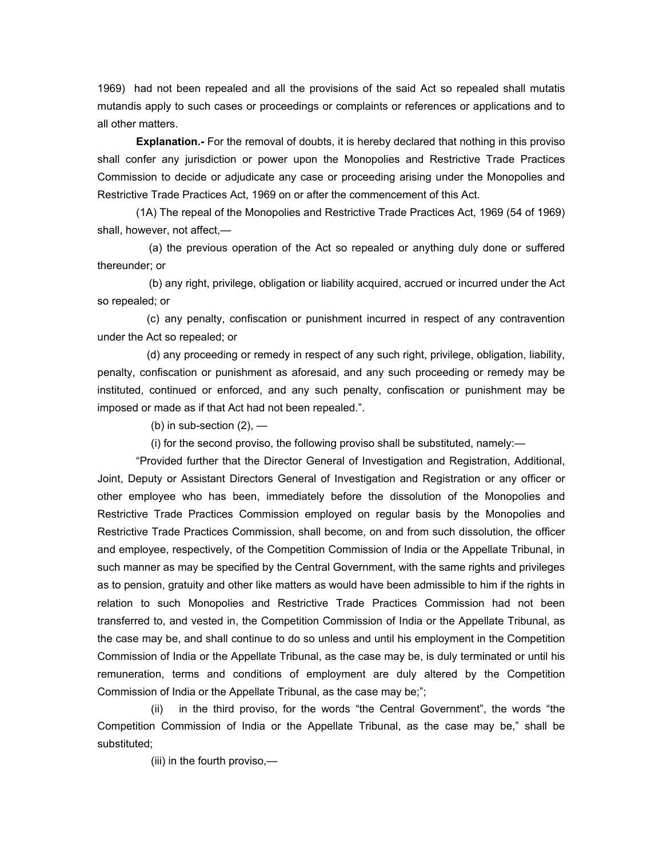1969) had not been repealed and all the provisions of the said Act so repealed shall mutatis mutandis apply to such cases or proceedings or complaints or references or applications and to all other matters.

 **Explanation.-** For the removal of doubts, it is hereby declared that nothing in this proviso shall confer any jurisdiction or power upon the Monopolies and Restrictive Trade Practices Commission to decide or adjudicate any case or proceeding arising under the Monopolies and Restrictive Trade Practices Act, 1969 on or after the commencement of this Act.

 (1A) The repeal of the Monopolies and Restrictive Trade Practices Act, 1969 (54 of 1969) shall, however, not affect,—

 (a) the previous operation of the Act so repealed or anything duly done or suffered thereunder; or

 (b) any right, privilege, obligation or liability acquired, accrued or incurred under the Act so repealed; or

 (c) any penalty, confiscation or punishment incurred in respect of any contravention under the Act so repealed; or

 (d) any proceeding or remedy in respect of any such right, privilege, obligation, liability, penalty, confiscation or punishment as aforesaid, and any such proceeding or remedy may be instituted, continued or enforced, and any such penalty, confiscation or punishment may be imposed or made as if that Act had not been repealed.".

(b) in sub-section  $(2)$ , —

(i) for the second proviso, the following proviso shall be substituted, namely:—

 "Provided further that the Director General of Investigation and Registration, Additional, Joint, Deputy or Assistant Directors General of Investigation and Registration or any officer or other employee who has been, immediately before the dissolution of the Monopolies and Restrictive Trade Practices Commission employed on regular basis by the Monopolies and Restrictive Trade Practices Commission, shall become, on and from such dissolution, the officer and employee, respectively, of the Competition Commission of India or the Appellate Tribunal, in such manner as may be specified by the Central Government, with the same rights and privileges as to pension, gratuity and other like matters as would have been admissible to him if the rights in relation to such Monopolies and Restrictive Trade Practices Commission had not been transferred to, and vested in, the Competition Commission of India or the Appellate Tribunal, as the case may be, and shall continue to do so unless and until his employment in the Competition Commission of India or the Appellate Tribunal, as the case may be, is duly terminated or until his remuneration, terms and conditions of employment are duly altered by the Competition Commission of India or the Appellate Tribunal, as the case may be;";

 (ii) in the third proviso, for the words "the Central Government", the words "the Competition Commission of India or the Appellate Tribunal, as the case may be," shall be substituted;

(iii) in the fourth proviso,—